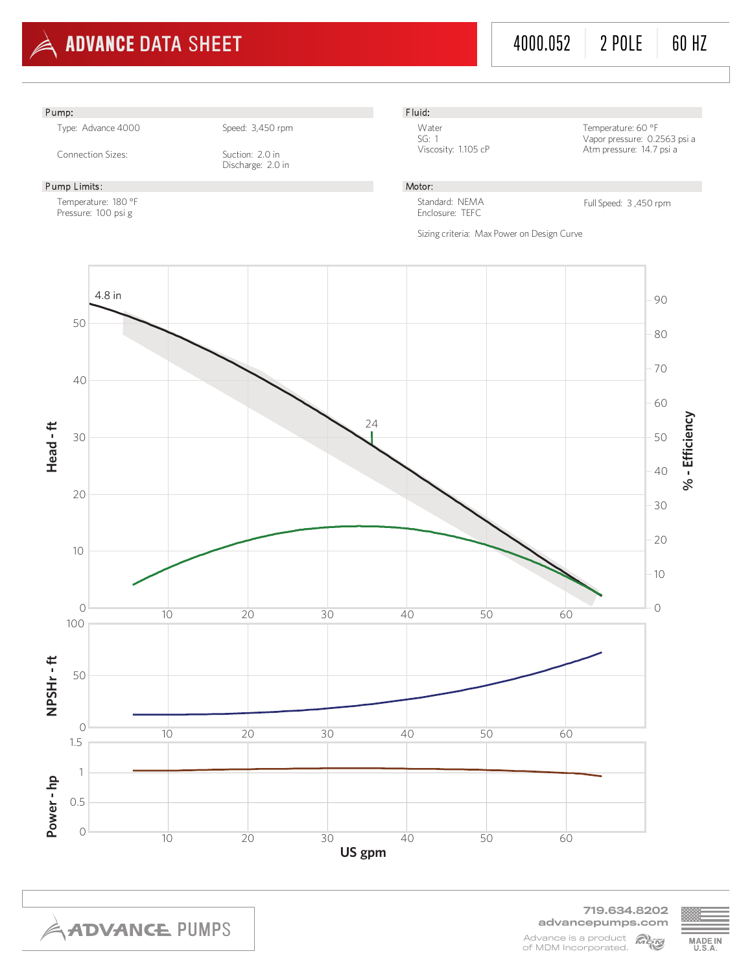

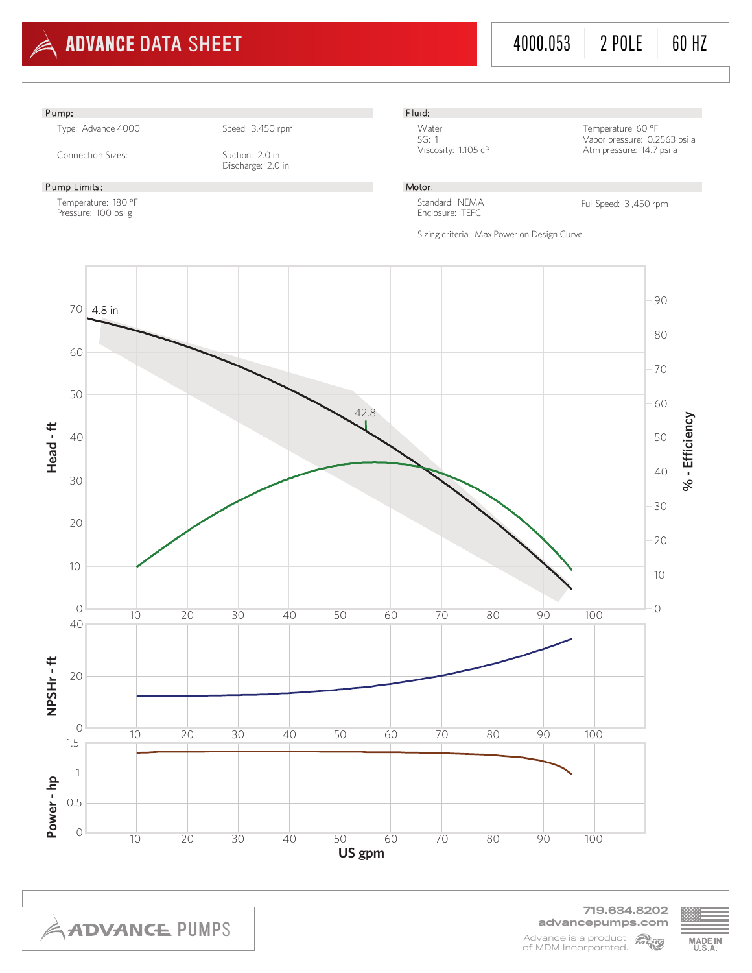

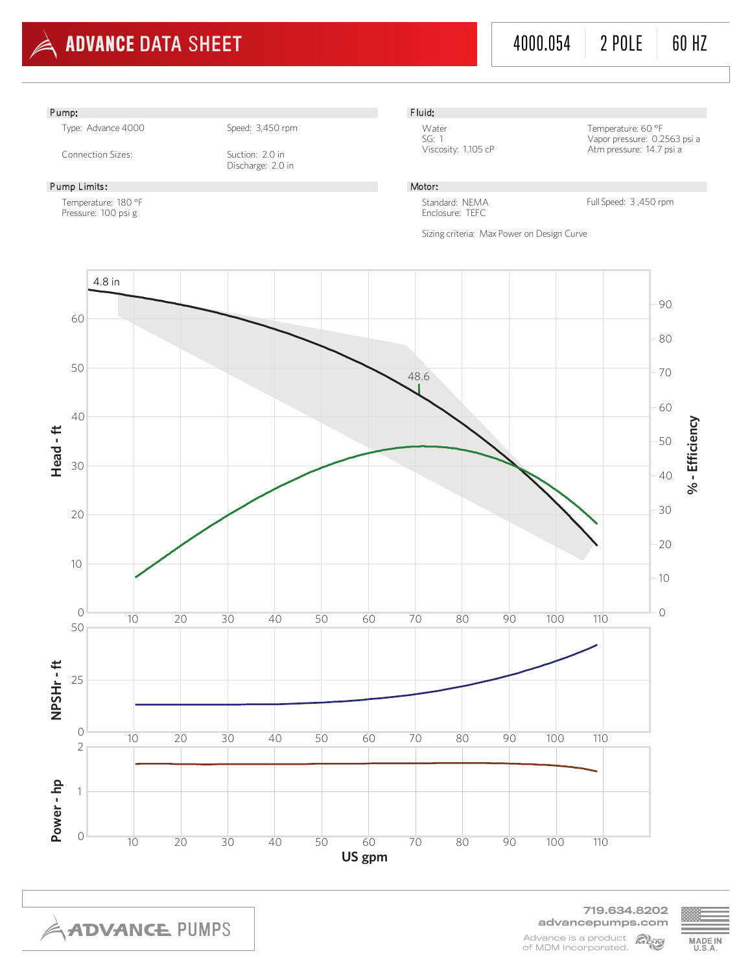

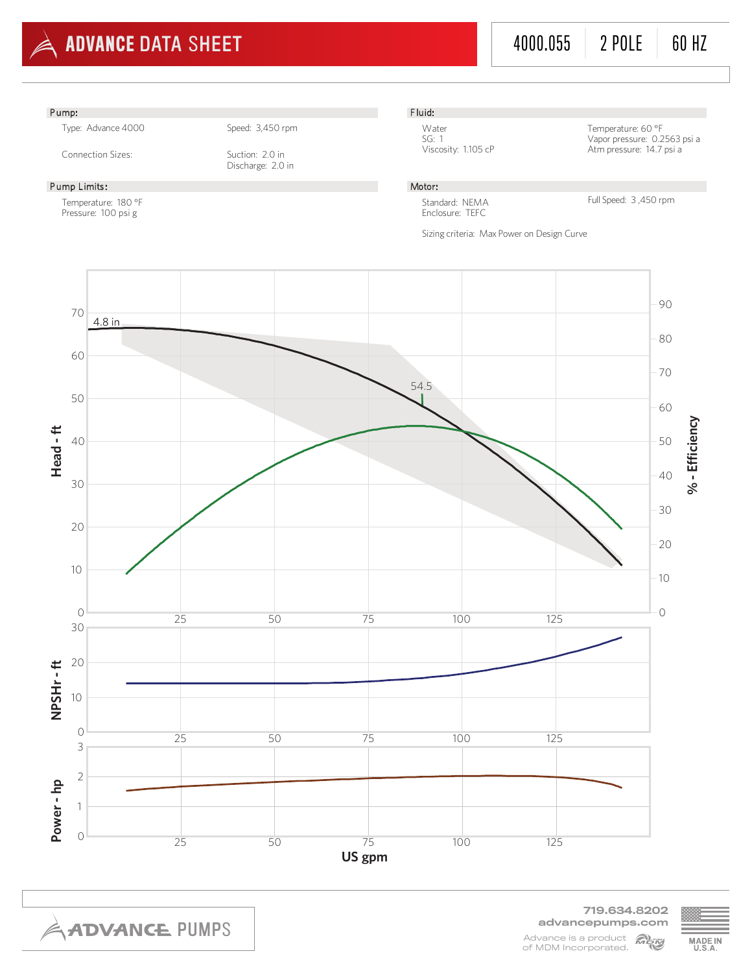

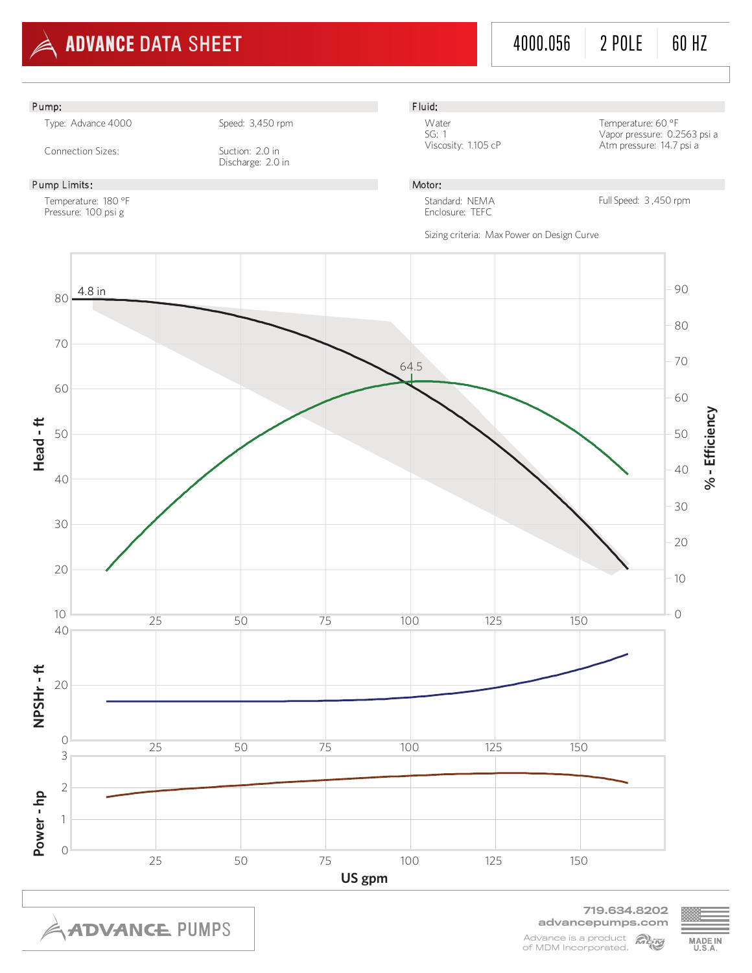

4000.056 | 2 POLE | 60 HZ



**ADVANCE PUMPS** 

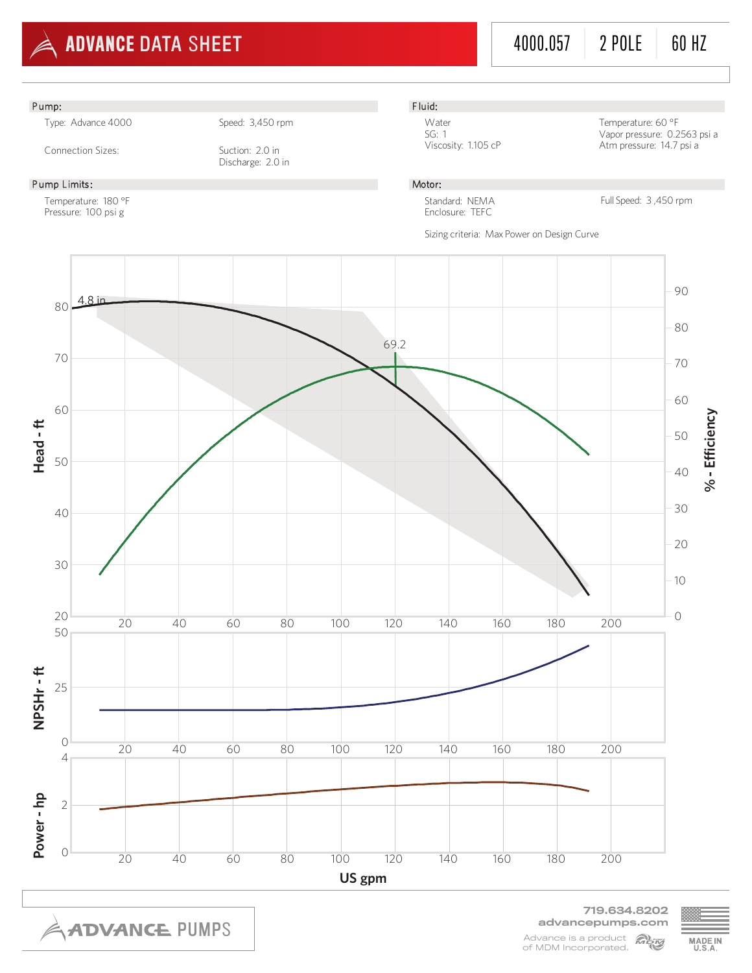



Advance is a product **Algor** of MDM Incorporated.

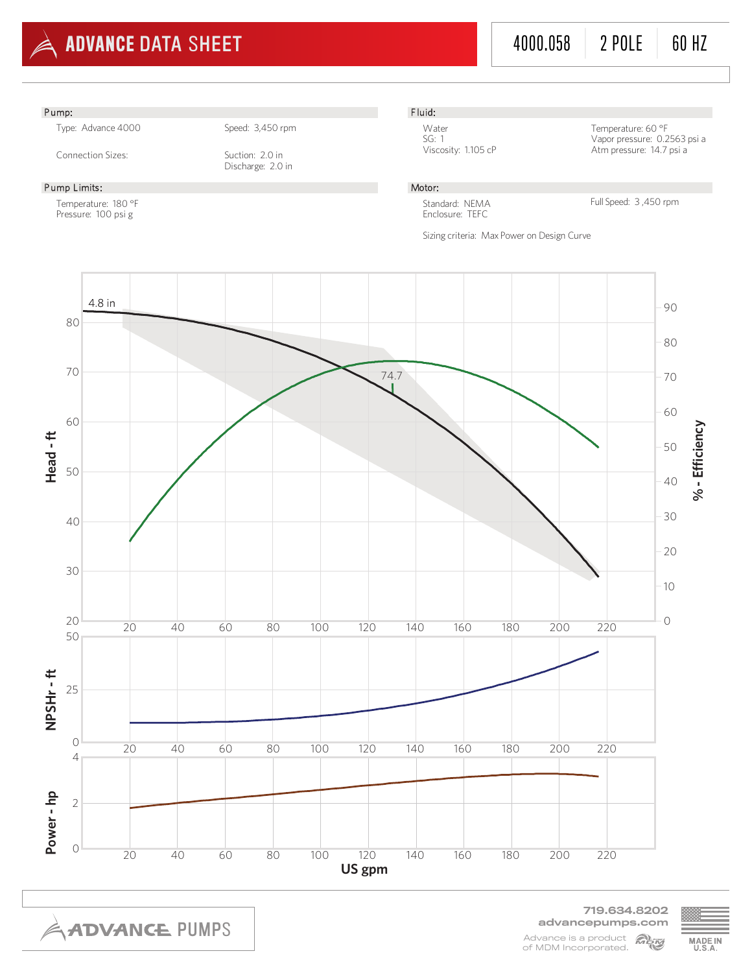

advancepumps.com Advance is a product **Alimy** of MDM Incorporated.

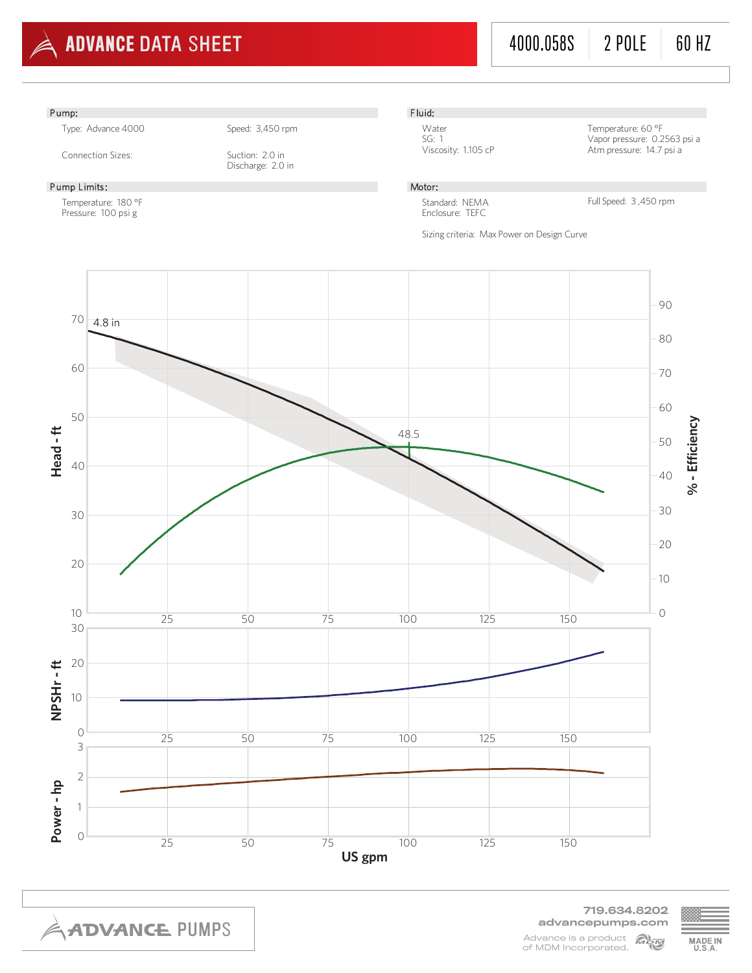

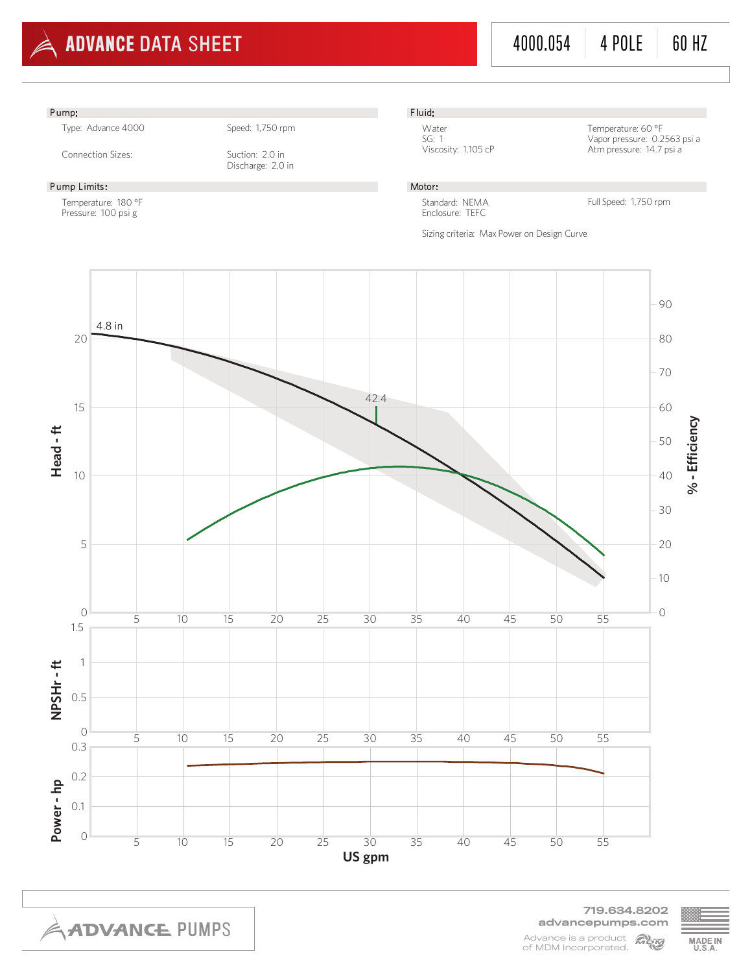

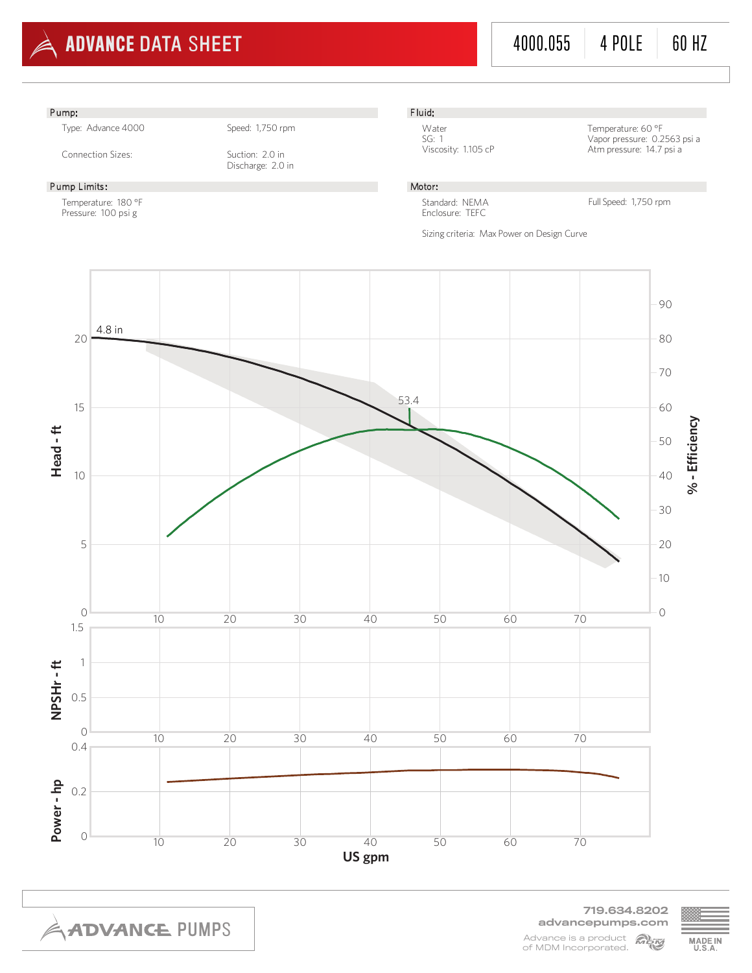

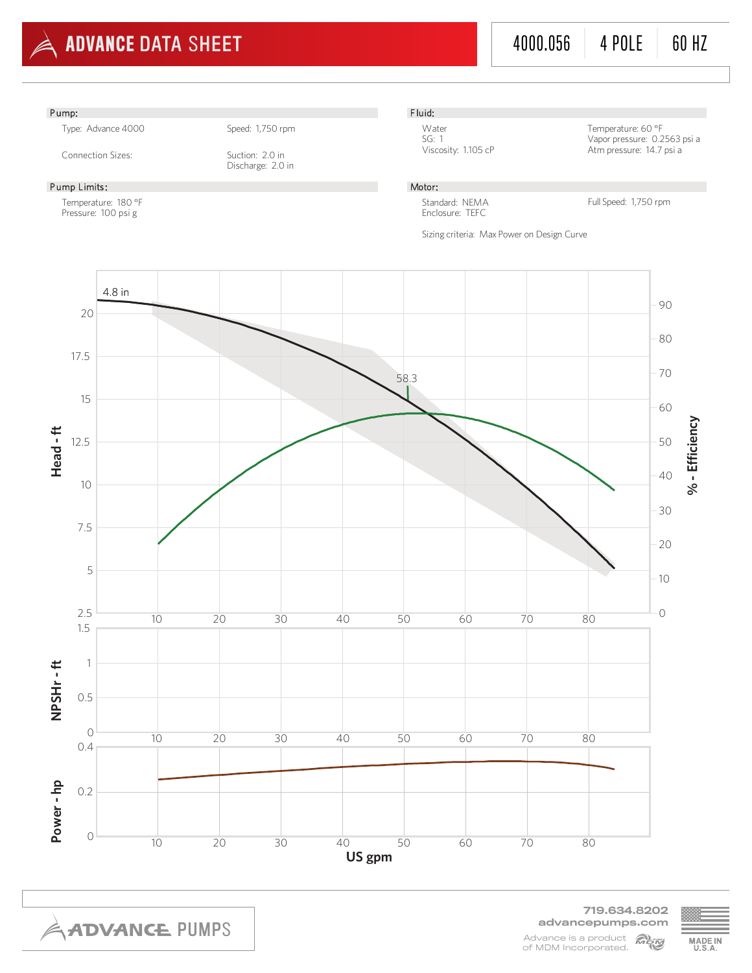

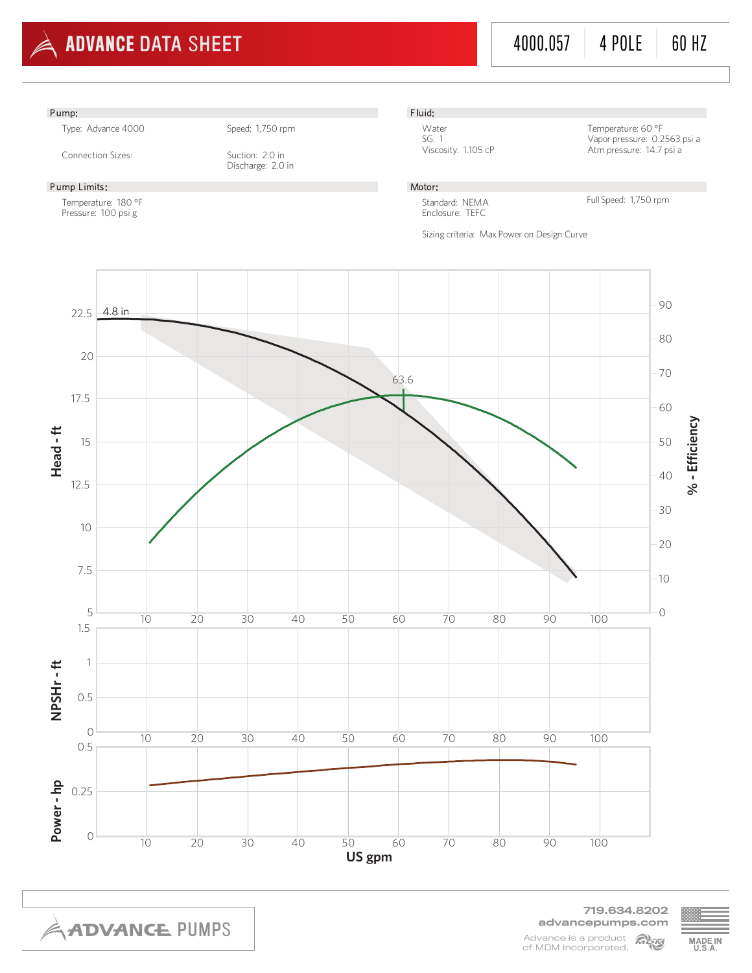



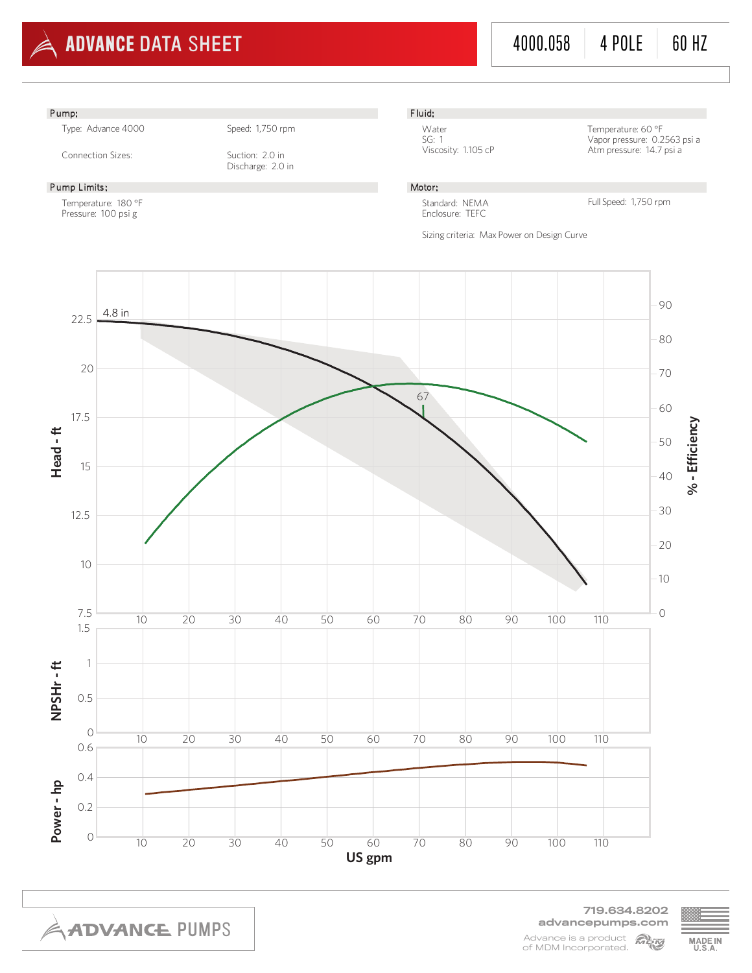